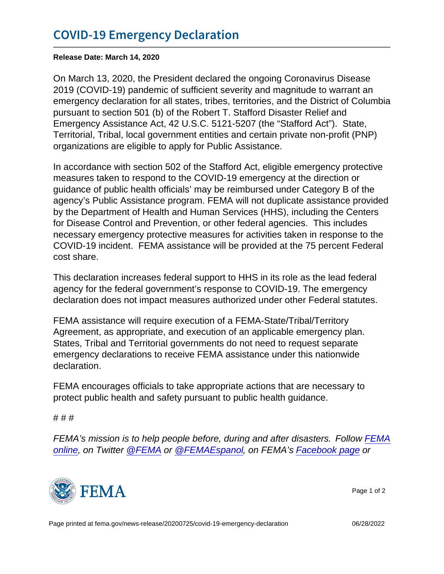Release Date: March 14, 2020

On March 13, 2020, the President declared the ongoing Coronavirus Disease 2019 (COVID-19) pandemic of sufficient severity and magnitude to warrant an emergency declaration for all states, tribes, territories, and the District of Columbia pursuant to section 501 (b) of the Robert T. Stafford Disaster Relief and Emergency Assistance Act, 42 U.S.C. 5121-5207 (the "Stafford Act"). State, Territorial, Tribal, local government entities and certain private non-profit (PNP) organizations are eligible to apply for Public Assistance.

In accordance with section 502 of the Stafford Act, eligible emergency protective measures taken to respond to the COVID-19 emergency at the direction or guidance of public health officials' may be reimbursed under Category B of the agency's Public Assistance program. FEMA will not duplicate assistance provided by the Department of Health and Human Services (HHS), including the Centers for Disease Control and Prevention, or other federal agencies. This includes necessary emergency protective measures for activities taken in response to the COVID-19 incident. FEMA assistance will be provided at the 75 percent Federal cost share.

This declaration increases federal support to HHS in its role as the lead federal agency for the federal government's response to COVID-19. The emergency declaration does not impact measures authorized under other Federal statutes.

FEMA assistance will require execution of a FEMA-State/Tribal/Territory Agreement, as appropriate, and execution of an applicable emergency plan. States, Tribal and Territorial governments do not need to request separate emergency declarations to receive FEMA assistance under this nationwide declaration.

FEMA encourages officials to take appropriate actions that are necessary to protect public health and safety pursuant to public health guidance.

# # #

FEMA's mission is to help people before, during and after disasters. Follow [FEMA](https://www.fema.gov/blog) [online,](https://www.fema.gov/blog) on Twitter [@FEMA](https://twitter.com/FEMA) or [@FEMAEspanol](https://twitter.com/FEMAEspanol), on FEMA's [Facebook page](https://www.facebook.com/FEMA) or



Page 1 of 2